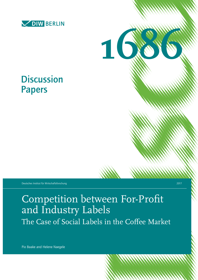

**Discussion** 

Papers



Deutsches Institut für Wirtschaftsforschung 2017

Competition between For-Profit and Industry Labels The Case of Social Labels in the Coffee Market

Pio Baake and Helene Naegele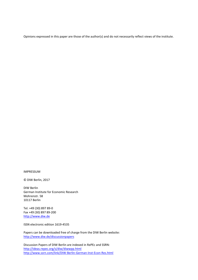Opinions expressed in this paper are those of the author(s) and do not necessarily reflect views of the institute.

IMPRESSUM

© DIW Berlin, 2017

DIW Berlin German Institute for Economic Research Mohrenstr. 58 10117 Berlin

Tel. +49 (30) 897 89-0 Fax +49 (30) 897 89-200 [http://www.diw.de](http://www.diw.de/)

ISSN electronic edition 1619-4535

Papers can be downloaded free of charge from the DIW Berlin website: <http://www.diw.de/discussionpapers>

Discussion Papers of DIW Berlin are indexed in RePEc and SSRN: http://ideas.repec.org/s/diw/diwwpp.html <http://www.ssrn.com/link/DIW-Berlin-German-Inst-Econ-Res.html>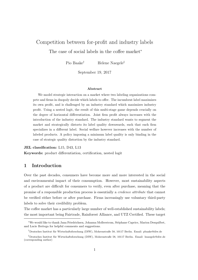# Competition between for-profit and industry labels The case of social labels in the coffee market<sup>∗</sup>

Pio Baake<sup>†</sup> Helene Naegele<sup>‡</sup>

September 19, 2017

#### Abstract

We model strategic interaction on a market where two labeling organizations compete and firms in duopoly decide which labels to offer. The incumbent label maximizes its own profit, and is challenged by an industry standard which maximizes industry profit. Using a nested logit, the result of this multi-stage game depends crucially on the degree of horizontal differentiation. Joint firm profit always increases with the introduction of the industry standard. The industry standard wants to segment the market and strategically distorts its label quality downwards, such that each firm specializes in a different label. Social welfare however increases with the number of labeled products. A policy imposing a minimum label quality is only binding in the case of strategic quality distortion by the industry standard.

JEL classification: L15, D43, L13

Keywords: product differentiation, certification, nested logit

### 1 Introduction

Over the past decades, consumers have become more and more interested in the social and environmental impact of their consumption. However, most sustainability aspects of a product are difficult for consumers to verify, even after purchase, meaning that the promise of a responsible production process is essentially a credence attribute that cannot be verified either before or after purchase. Firms increasingly use voluntary third-party labels to solve their credibility problem.

The coffee market has a particularly large number of well-established sustainability labels; the most important being Fairtrade, Rainforest Alliance, and UTZ Certified. These target

<sup>∗</sup>We would like to thank Jana Friedrichsen, Johanna Mollerstrom, St´ephane Caprice, Marion Desquilbet, and Lucie Bottega for helpful comments and suggestions.

 $^\dagger$ Deutsches Institut für Wirtschaftsforschung (DIW), Mohrenstraße 58, 10117 Berlin. Email: pbaake@diw.de

<sup>‡</sup>Deutsches Institut für Wirtschaftsforschung (DIW), Mohrenstraße 58, 10117 Berlin. Email: hnaegele@diw.de (corresponding author)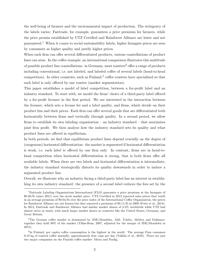the well-being of farmers and the environmental impact of production. The stringency of the labels varies: Fairtrade, for example, guarantees a price premium for farmers, while the price premia established by UTZ Certified and Rainforest Alliance are lower and not guaranteed.<sup>1</sup> When it comes to social sustainability labels, higher farmgate prices are seen by consumers as higher quality and justify higher prices.

When each firm can offer several differentiated products, various constellations of product lines can arise. In the coffee example, an international comparison illustrates this multitude of possible product line constellations: in Germany, most roasters<sup>2</sup> offer a range of products including conventional, i.e. not labeled, and labeled coffee of several labels (head-to-head competition). In other countries, such as  $\text{Finland}$ ,  $\text{def}$  coffee roasters have specialized so that each label is only offered by one roaster (market segmentation).

This paper establishes a model of label competition, between a for-profit label and an industry standard. To start with, we model the firms' choice of a third-party label offered by a for-profit licenser in the first period. We are interested in the interaction between the licenser, which sets a license fee and a label quality, and firms, which decide on their product line and their prices. Each firm can offer several goods that are differentiated both horizontally between firms and vertically through quality. In a second period, we allow firms to establish its own labeling organization – an industry standard – that maximizes joint firm profit. We then analyze how the industry standard sets its quality and what product lines are offered in equilibrium.

In both periods, we find that equilibrium product lines depend crucially on the degree of (exogenous) horizontal differentiation: the market is segmented if horizontal differentiation is weak, i.e. each label is offered by one firm only. In contrast, firms are in head-tohead competition when horizontal differentiation is strong, that is both firms offer all available labels. When there are two labels and horizontal differentiation is intermediate, the industry standard strategically distorts its quality downwards in order to induce a segmented product line.

Overall, we illustrate why an industry facing a third-party label has an interest in establishing its own industry standard: the presence of a second label reduces the fees set by the

<sup>1</sup>Fairtrade Labeling Organizations International (FLO) guarantee a price premium at the farmgate of \$0.20/lb (since 2011) over the stock market price. UTZ Certified in 2012 reported sales prices that result in an average premium of \$0.04/lb over the price index of the International Coffee Organization; the prices for Rainforest Alliance are not known but they reported a premium of \$0.11/lb in 2009 (Potts et al., 2014). In 2012, Fairtrade and Rainforest Alliance had similar market shares of 2-3% worldwide while UTZ had almost twice as much, with much larger market shares in countries like the United States, Germany, and Great Britain.

<sup>&</sup>lt;sup>2</sup>The German coffee market is dominated by JDE/Mondelez, Aldi, Tchibo, Melitta and Dallmayr; together they hold 90% of the market (Villas-Boas, 2007, adjusted for the merger of JDE/Mondelez in 2015).

<sup>&</sup>lt;sup>3</sup>In Finland, per capita coffee consumption is the highest in the world. The average Finn consumes 9-10 kg of roasted coffee annually; approximately four cups per day (Valkila et al., 2010). There are just two major companies on the Finnish coffee market: Meira and Paulig.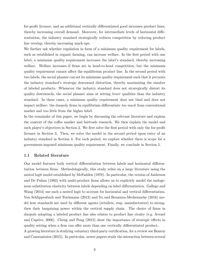for-profit licenser, and an additional vertically differentiated good increases product lines, thereby increasing overall demand. Moreover, for intermediate levels of horizontal differentiation, the industry standard strategically reduces competition by reducing product line overlap, thereby increasing mark-ups.

We further ask whether regulation in form of a minimum quality requirement for labels, such as established in organic farming, can increase welfare. In the first period with one label, a minimum quality requirement increases the label's standard, thereby increasing welfare. Welfare increases if firms are in head-to-head competition, but the minimum quality requirement cannot affect the equilibrium product line. In the second period with two labels, the social planner can set its minimum quality requirement such that it prevents the industry standard's strategic downward distortion, thereby maximizing the number of labeled products. Whenever the industry standard does not strategically distort its quality downwards, the social planner aims at setting *lower* qualities than the industry standard. In these cases, a minimum quality requirement does not bind and does not impact welfare: the duopoly firms in equilibrium differentiate too much from conventional market and too little from the higher label.

In the remainder of this paper, we begin by discussing the relevant literature and explain the context of the coffee market and fairtrade research. We then explain the model and each player's objectives in Section 2. We first solve the first period with only the for-profit licenser in Section 3. Then, we solve the model in the second period upon entry of an industry standard in Section 4. For each period, we explore whether there is scope for a government-imposed minimum quality requirement. Finally, we conclude in Section 5.

#### 1.1 Related literature

Our model features both vertical differentiation between labels and horizontal differentiation between firms. Methodologically, this study relies on a large literature using the nested logit model established by McFadden (1978). In particular, the version of Anderson and De Palma (1992) with multi-product firms allows us to explicitly model the endogenous substitution elasticity between labels depending on label differentiation. Gallego and Wang (2014) use such a nested logit to account for horizontal and vertical differentiation. Von Schlippenbach and Teichmann (2012) and Yu and Bouamra-Mechemache (2016) model how standards are used by different agents (retailers, resp. manufacturers) to strengthen their bargaining power within the vertical supply chain. The choice of firms in duopoly adopting a labeled product line also relates to product line rivalry (e.g. Avenel and Caprice, 2006). Cheng and Peng (2012) show the importance of strategic effects in quality setting when a firm can offer more than one vertically differentiated product. A growing literature is studying voluntary third-party certification, for a review see Bonroy

and Constantatos (2015). In particular, newer papers study the interaction between several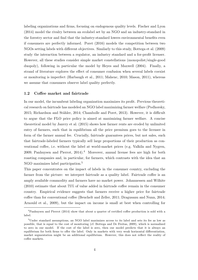labeling organizations and firms, focusing on endogenous quality levels. Fischer and Lyon (2014) model the rivalry between an ecolabel set by an NGO and an industry-standard in the forestry sector and find that the industry-standard lowers environmental benefits even if consumers are perfectly informed. Poret (2016) models the competition between two NGOs setting labels with different objectives. Similarly to this study, Bottega et al. (2009) study the interaction between a regulator, an industry standard and a for-profit licenser. However, all these studies consider simple market constellations (monopolist/single-good duopoly), following in particular the model by Heyes and Maxwell (2004). Finally, a strand of literature explores the effect of consumer confusion when several labels coexist or monitoring is imperfect (Harbaugh et al., 2011; Mahenc, 2010; Mason, 2011), whereas we assume that consumers observe label quality perfectly.

### 1.2 Coffee market and fairtrade

In our model, the incumbent labeling organization maximizes its profit. Previous theoretical research on fairtrade has modeled an NGO label maximizing farmer welfare (Podhorsky, 2015; Richardson and Stähler, 2014; Chambolle and Poret, 2013). However, it is difficult to argue that the FLO price policy is aimed at maximizing farmer welfare. A concise theoretical model by Janvry et al. (2015) shows how farmer rents are eroded by unlimited entry of farmers, such that in equilibrium all the price premium goes to the licenser in form of the farmer annual fee. Crucially, fairtrade guarantees prices, but not sales, such that fairtrade-labeled farmers typically sell large proportions of their production as conventional coffee, i.e. without the label at world-market prices (e.g. Valkila and Nygren, 2009; Panhuysen and Pierrot,  $2014$ .<sup>4</sup> Moreover, annual license fees are high for both roasting companies and, in particular, for farmers, which contrasts with the idea that an NGO maximizes label participation.<sup>5</sup>

This paper concentrates on the impact of labels in the consumer country, excluding the farmer from the picture: we interpret fairtrade as a quality label. Fairtrade coffee is an amply available commodity and farmers have no market power. Johannessen and Wilhite (2010) estimate that about 75% of value added in fairtrade coffee remain in the consumer country. Empirical evidence suggests that farmers receive a higher price for fairtrade coffee than for conventional coffee (Beuchelt and Zeller, 2011; Dragusanu and Nunn, 2014; Arnould et al., 2009), but the impact on income is small at best when controlling for

<sup>4</sup>Panhuysen and Pierrot (2014) show that about a quarter of certified coffee production is sold with a label.

<sup>5</sup>Under standard assumptions, an NGO label maximizes access to its label and sets its fee as low as possible, that is equal to the cost of monitoring (cf. Bottega and De Freitas, 2009), which is normalized to zero in our model. If the cost of the label is zero, then our model predicts that it is always an equilibrium for both firms to offer the label. Only in markets with very weak horizontal differentiation, market segmentation might be an additional equilibrium. However, this does not reflect the reality of coffee markets.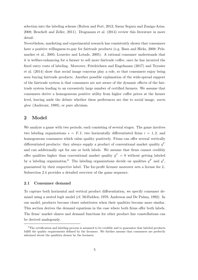selection into the labeling scheme (Ruben and Fort, 2012; Saenz Segura and Zuniga-Arias, 2008; Beuchelt and Zeller, 2011). Dragusanu et al. (2014) review this literature in more detail.

Nevertheless, marketing and experimental research has consistently shown that consumers have a positive willingness-to-pay for fairtrade products (e.g. Basu and Hicks, 2008; Pelsmacker et al., 2005; Loureiro and Lotade, 2005). A rational consumer understands that it is welfare-enhancing for a farmer to sell more fairtrade coffee, once he has incurred the fixed entry costs of labeling. Moreover, Friedrichsen and Engelmann (2017) and Teyssier et al. (2014) show that social image concerns play a role, so that consumers enjoy being seen buying fairtrade products. Another possible explanation of the wide-spread support of the fairtrade system is that consumers are not aware of the dynamic effects of the fairtrade system leading to an excessively large number of certified farmers. We assume that consumers derive a homogeneous positive utility from higher coffee prices at the farmer level, leaving aside the debate whether these preferences are due to social image, warm glow (Andreoni, 1989), or pure altruism.

### 2 Model

We analyze a game with two periods, each consisting of several stages. The game involves two labeling organizations  $s = F, I$ , two horizontally differentiated firms  $i = 1, 2$ , and homogeneous consumers which value quality positively. Firms can offer several vertically differentiated products: they always supply a product of conventional market quality  $q^C$ and can additionally opt for one or both labels. We assume that firms cannot credibly offer qualities higher than conventional market quality  $q^C = 0$  without getting labeled by a labeling organization.<sup>6</sup> The labeling organizations decide on qualities  $q<sup>F</sup>$  and  $q<sup>I</sup>$ , guaranteed by their respective label. The for-profit licenser moreover sets a license fee L. Subsection 2.4 provides a detailed overview of the game sequence.

### 2.1 Consumer demand

To capture both horizontal and vertical product differentiation, we specify consumer demand using a nested logit model (cf. McFadden, 1978; Anderson and De Palma, 1992). In our model, products become closer substitutes when their qualities become more similar. This section derives the demand equations in the case where both firms offer both labels. The firms' market shares and demand functions for other product line constellations can be derived analogously.

<sup>&</sup>lt;sup>6</sup>The certification and labeling process is assumed to be credible and to guarantee that labeled products fulfill the quality requirements defined by the licensers. We further assume that consumers are perfectly informed about the qualities chosen by the licensers.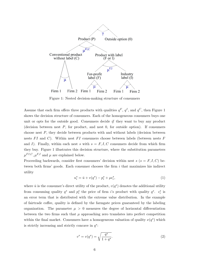

Figure 1: Nested decision-making structure of consumers

Assume that each firm offers three products with qualities  $q^F$ ,  $q^I$ , and  $q^C$ , then Figure 1 shows the decision structure of consumers. Each of the homogeneous consumers buys one unit or opts for the outside good. Consumers decide if they want to buy any product (decision between nest P, for product, and nest 0, for outside option). If consumers choose nest P, they decide between products with and without labels (decision between nests  $FI$  and C). Within nest  $FI$  consumers choose between labels (between nests  $F$ and I). Finally, within each nest s with  $s = F, I, C$  consumers decide from which firm they buy. Figure 1 illustrates this decision structure, where the substitution parameters  $\mu^{FI,C}, \mu^{F,I}$  and  $\mu$  are explained below.

Proceeding backwards, consider first consumers' decision within nest  $s$  ( $s = F, I, C$ ) between both firms' goods. Each consumer chooses the firm  $i$  that maximizes his indirect utility

$$
u_i^s = \bar{u} + v(q^s) - p_i^s + \mu \epsilon_i^s,\tag{1}
$$

where  $\bar{u}$  is the consumer's direct utility of the product,  $v(q^s)$  denotes the additional utility from consuming quality  $q^s$  and  $p_i^s$  the price of firm i's product with quality  $q^s$ .  $\epsilon_i^s$  is an error term that is distributed with the extreme value distribution. In the example of fairtrade coffee, quality is defined by the farmgate prices guaranteed by the labeling organization. The parameter  $\mu > 0$  measures the degree of horizontal differentiation between the two firms such that  $\mu$  approaching zero translates into perfect competition within the final market. Consumers have a homogeneous valuation of quality  $\nu(q^s)$  which is strictly increasing and strictly concave in  $q^s$ :

$$
v^s = v(q^s) = \sqrt{\frac{q^s}{1+q^s}}.\tag{2}
$$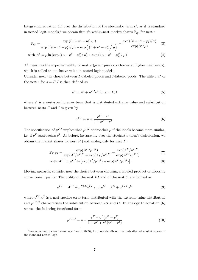Integrating equation (1) over the distribution of the stochastic term  $\epsilon_i^s$ , as it is standard in nested logit models,<sup>7</sup> we obtain firm *i*'s within-nest market shares  $\mathbb{P}_{i|s}$  for nest *s* 

$$
\mathbb{P}_{i|s} = \frac{\exp\left((\bar{u} + v^s - p_i^s)/\mu\right)}{\exp\left((\bar{u} + v^s - p_i^s)/\mu\right) + \exp\left((\bar{u} + v^s - p_j^s)/\mu\right)} = \frac{\exp\left((\bar{u} + v^s - p_i^s)/\mu\right)}{\exp(A^s/\mu)}
$$
(3)

with 
$$
A^{s} = \mu \ln \left[ \exp \left( \left( \bar{u} + v^{s} - p_{i}^{s} \right) / \mu \right) + \exp \left( \left( \bar{u} + v^{s} - p_{j}^{s} \right) / \mu \right) \right]
$$
 (4)

 $A<sup>s</sup>$  measures the expected utility of nest s (given previous choices at higher nest levels), which is called the inclusive value in nested logit models.

Consider next the choice between  $F$ -labeled goods and I-labeled goods. The utility  $u^s$  of the nest s for  $s = F, I$  is then defined as

$$
u^s = A^s + \mu^{F,I} \epsilon^s \text{ for } s = F, I
$$
 (5)

where  $\epsilon^s$  is a nest-specific error term that is distributed extreme value and substitution between nests  $F$  and  $I$  is given by

$$
\mu^{F,I} = \mu + \frac{v^F - v^I}{1 + v^F - v^I}.
$$
\n(6)

The specification of  $\mu^{F,I}$  implies that  $\mu^{F,I}$  approaches  $\mu$  if the labels become more similar, i.e. if  $q^F$  approaches  $q^I$ . As before, integrating over the stochastic term's distribution, we obtain the market shares for nest  $F$  (and analogously for nest  $I$ ):

$$
\mathbb{P}_{F|FI} = \frac{\exp(A^F/\mu^{F,I})}{\exp(A^I/\mu^{F,I}) + \exp(A_F/\mu^{F,I})} = \frac{\exp(A^F/\mu^{F,I})}{\exp(A^{F,I}/\mu^{F,I})}
$$
(7)

with 
$$
A^{FI} = \mu^{F,I} \ln \left[ \exp(A^I/\mu^{F,I}) + \exp(A^F/\mu^{F,I}) \right].
$$
 (8)

Moving upwards, consider now the choice between choosing a labeled product or choosing conventional quality. The utility of the nest  $FI$  and of the nest  $C$  are defined as

$$
u^{FI} = A^{FI} + \mu^{FI,C} \epsilon^{FI} \text{ and } u^C = A^C + \mu^{FI,C} \epsilon^C
$$
 (9)

where  $\epsilon^{FI}, \epsilon^{C}$  is a nest-specific error term distributed with the extreme value distribution and  $\mu^{FI,C}$  characterizes the substitution between FI and C. In analogy to equation (6) we use the following functional form

$$
\mu^{FI,C} = \mu + \frac{v^F + v^I(v^F - v^I)}{1 + v^F + v^I(v^F - v^I)}
$$
\n(10)

<sup>7</sup>See econometrics textbooks, e.g. Train (2009), for more details on the derivation of market shares in the standard nested logit.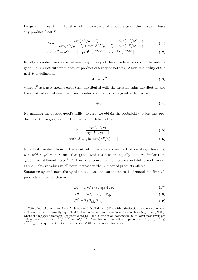Integrating gives the market share of the conventional products, given the consumer buys any product (nest P)

$$
\mathbb{P}_{C|P} = \frac{\exp(A^C/\mu^{FI,C})}{\exp(A^C/\mu^{FI,C}) + \exp(A^{FI}/\mu^{FI,C})} = \frac{\exp(A^C/\mu^{FI,C})}{\exp(A^P/\mu^{FI,C})}
$$
(11)

with 
$$
A^{P} = \mu^{FI,C} \ln \left[ \exp(A^{C}/\mu^{FI,C}) + \exp(A^{FI}/\mu^{FI,C}) \right].
$$
 (12)

Finally, consider the choice between buying any of the considered goods or the outside good, i.e. a substitute from another product category or nothing. Again, the utility of the nest P is defined as

$$
u^P = A^P + \gamma \epsilon^P \tag{13}
$$

where  $\epsilon^P$  is a nest-specific error term distributed with the extreme value distribution and the substitution between the firms' products and an outside good is defined as

$$
\gamma = 1 + \mu. \tag{14}
$$

Normalizing the outside good's utility to zero, we obtain the probability to buy any product, i.e. the aggregated market share of both firms  $\mathbb{P}_P$ :

$$
\mathbb{P}_P = \frac{\exp(A^P/\gamma)}{\exp(A^P/\gamma) + 1} \tag{15}
$$

with 
$$
A = \gamma \ln \left[ \exp(A^P/\gamma) + 1 \right]
$$
. (16)

Note that the definitions of the substitution parameters ensure that we always have  $0 \leq$  $\mu \leq \mu^{F,I} \leq \mu^{FI,C} \leq \gamma$  such that goods within a nest are equally or more similar than goods from different nests.<sup>8</sup> Furthermore, consumers' preferences exhibit love of variety as the inclusive values in all nests increase in the number of products offered.

Summarizing and normalizing the total mass of consumers to 1, demand for firm  $i$ 's products can be written as

$$
D_i^F = \mathbb{P}_P \mathbb{P}_{FI|P} \mathbb{P}_{F|FI} \mathbb{P}_{i|F},\tag{17}
$$

$$
D_i^I = \mathbb{P}_P \mathbb{P}_{FI|P} \mathbb{P}_{I|FI} \mathbb{P}_{i|I},\tag{18}
$$

$$
D_i^C = \mathbb{P}_P \mathbb{P}_{C|P} \mathbb{P}_{i|C}
$$
\n<sup>(19)</sup>

<sup>&</sup>lt;sup>8</sup>We adopt the notation from Anderson and De Palma (1992), with substitution parameters at each nest level, which is formally equivalent to the notation more common in econometrics (e.g. Train, 2009), where the highest parameter  $\gamma$  is normalized to 1 and substitution parameters  $\sigma_k$  of lower nest levels are defined as  $\mu^{FI,C}/\gamma$  and  $\mu^{F,I}/\mu^{FI,C}$  and  $\mu^{s}/\mu^{F,I}$ . Therefore, our restriction on parameters  $(0 \leq \mu \leq \mu^{F,I} \leq$  $\mu^{FI,C} \leq \gamma$  is equivalent to the restriction  $\sigma_k \in (0,1)$  in econometric work.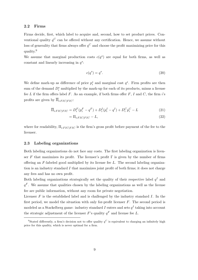### 2.2 Firms

Firms decide, first, which label to acquire and, second, how to set product prices. Conventional quality  $q^C$  can be offered without any certification. Hence, we assume without loss of generality that firms always offer  $q^C$  and choose the profit maximizing price for this quality.<sup>9</sup>

We assume that marginal production costs  $c(q^s)$  are equal for both firms, as well as constant and linearly increasing in  $q^s$ :

$$
c(q^s) = q^s. \tag{20}
$$

We define mark-up as difference of price  $p_i^s$  and marginal cost  $q^s$ . Firm profits are then sum of the demand  $D_i^s$  multiplied by the mark-up for each of its products, minus a license fee L if the firm offers label F. As an example, if both firms offer F, I and C, the firm  $i$ 's profits are given by  $\overline{\Pi}_{i:FICIFIC}$ :

$$
\overline{\Pi}_{i:FIC|FIC} = D_i^F (p_i^F - q^F) + D_i^I (p_i^I - q^I) + D_i^C p_i^C - L \tag{21}
$$

$$
=\Pi_{i:FIC|FIC} - L,\t\t(22)
$$

where for readability,  $\Pi_{i:FIC|FIC}$  is the firm's gross profit before payment of the fee to the licenser.

### 2.3 Labeling organizations

Both labeling organizations do not face any costs. The first labeling organization is licenser F that maximizes its profit. The licenser's profit  $\Gamma$  is given by the number of firms offering an  $F$ -labeled good multiplied by its license fee  $L$ . The second labeling organization is an industry standard  $I$  that maximizes joint profit of both firms; it does not charge any fees and has no own profit.

Both labeling organizations strategically set the quality of their respective label  $q<sup>I</sup>$  and  $q<sup>F</sup>$ . We assume that qualities chosen by the labeling organizations as well as the license fee are public information, without any room for private negotiation.

Licenser  $F$  is the established label and is challenged by the industry standard  $I$ . In the first period, we model the situation with only for-profit licenser  $F$ . The second period is modeled as a Stackelberg game: industry standard I enters and sets  $q<sup>I</sup>$  taking into account the strategic adjustment of the licenser F's quality  $q<sup>F</sup>$  and license fee L.

<sup>&</sup>lt;sup>9</sup>Stated differently, a firm's decision not to offer quality  $q^C$  is equivalent to charging an infinitely high price for this quality, which is never optimal for a firm.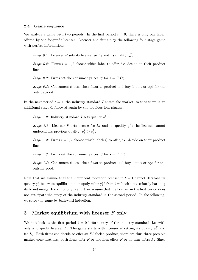### 2.4 Game sequence

We analyze a game with two periods. In the first period  $t = 0$ , there is only one label, offered by the for-profit licenser. Licenser and firms play the following four stage game with perfect information:

Stage 0.1: Licenser F sets its license fee  $L_0$  and its quality  $q_0^F$ ;

Stage 0.2: Firms  $i = 1, 2$  choose which label to offer, i.e. decide on their product line;

Stage 0.3: Firms set the consumer prices  $p_i^s$  for  $s = F, C$ ;

Stage  $0.4$ : Consumers choose their favorite product and buy 1 unit or opt for the outside good.

In the next period  $t = 1$ , the industry standard I enters the market, so that there is an additional stage 0, followed again by the previous four stages:

Stage 1.0: Industry standard I sets quality  $q<sup>I</sup>$ ;

Stage 1.1: Licenser F sets license fee  $L_1$  and its quality  $q_1^F$ ; the licenser cannot undercut his previous quality:  $q_1^F > q_0^F$ ;

Stage 1.2: Firms  $i = 1, 2$  choose which label(s) to offer, i.e. decide on their product line;

Stage 1.3: Firms set the consumer prices  $p_i^s$  for  $s = F, I, C$ ;

Stage 1.4 : Consumers choose their favorite product and buy 1 unit or opt for the outside good.

Note that we assume that the incumbent for-profit licenser in  $t = 1$  cannot decrease its quality  $q_1^F$  below its equilibrium monopoly value  $q_0^{F*}$  from  $t = 0$ , without seriously harming its brand image. For simplicity, we further assume that the licenser in the first period does not anticipate the entry of the industry standard in the second period. In the following, we solve the game by backward induction.

## 3 Market equilibrium with licenser F only

We first look at the first period  $t = 0$  before entry of the industry standard, i.e. with only a for-profit licenser F. The game starts with licenser F setting its quality  $q_0^F$  and fee  $L_0$ . Both firms can decide to offer an F-labeled product, there are thus three possible market constellations: both firms offer  $F$  or one firm offers  $F$  or no firm offers  $F$ . Since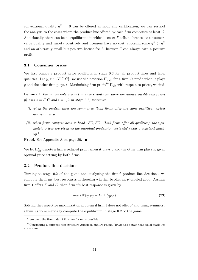conventional quality  $q^C = 0$  can be offered without any certification, we can restrict the analysis to the cases where the product line offered by each firm comprises at least C. Additionally, there can be no equilibrium in which licenser  $F$  sells no license; as consumers value quality and variety positively and licensers have no cost, choosing some  $q^F > q^C$ and an arbitrarily small but positive license fee  $L$ , licenser  $F$  can always earn a positive profit.

### 3.1 Consumer prices

We first compute product price equilibria in stage 0.3 for all product lines and label qualities. Let  $y, z \in \{FC, C\}$ , we use the notation  $\Pi_{i:y|z}$  for a firm i's profit when it plays y and the other firm plays z. Maximizing firm profit<sup>10</sup>  $\Pi_{y|z}$  with respect to prices, we find:

Lemma 1 For all possible product line constellations, there are unique equilibrium prices  $p_i^s$  with  $s = F, C$  and  $i = 1, 2$  in stage 0.3; moreover

- $(i)$  when the product lines are symmetric (both firms offer the same qualities), prices are symmetric;
- (ii) when firms compete head-to-head  ${FC, FC}$  (both firms offer all qualities), the symmetric prices are given by the marginal production costs  $c(q^s)$  plus a constant mark $up.$ <sup>11</sup>

**Proof.** See Appendix A on page 30.  $\blacksquare$ 

We let  $\Pi_{y|z}^*$  denote a firm's reduced profit when it plays y and the other firm plays z, given optimal price setting by both firms.

### 3.2 Product line decisions

Turning to stage 0.2 of the game and analyzing the firms' product line decisions, we compute the firms' best responses in choosing whether to offer an F-labeled good. Assume firm 1 offers  $F$  and  $C$ , then firm 2's best response is given by

$$
\max\{\Pi_{FC|FC}^* - L_0, \Pi_{C|FC}^*\}\tag{23}
$$

Solving the respective maximization problem if firm  $1$  does not offer  $F$  and using symmetry allows us to numerically compute the equilibrium in stage 0.2 of the game.

 $10$ We omit the firm index *i* if no confusion is possible.

<sup>&</sup>lt;sup>11</sup>Considering a different nest structure Anderson and De Palma (1992) also obtain that equal mark-ups are optimal.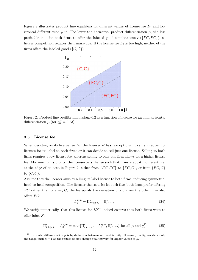Figure 2 illustrates product line equilibria for different values of license fee  $L_0$  and horizontal differentiation  $\mu$ <sup>12</sup>. The lower the horizontal product differentiation  $\mu$ , the less profitable it is for both firms to offer the labeled good simultaneously  $({F}C, FC)$ , as fiercer competition reduces their mark-ups. If the license fee  $L_0$  is too high, neither of the firms offers the labeled good  $({C, C})$ .



Figure 2: Product line equilibrium in stage 0.2 as a function of license fee  $L_0$  and horizontal differentiation  $\mu$  (for  $q_0^F = 0.23$ )

### 3.3 License fee

When deciding on its license fee  $L_0$ , the licenser F has two options: it can aim at selling licenses for its label to both firms or it can decide to sell just one license. Selling to both firms requires a low license fee, whereas selling to only one firm allows for a higher license fee. Maximizing its profits, the licenser sets the fee such that firms are just indifferent, i.e. at the edge of an area in Figure 2, either from  ${FC, FC}$  to  ${FC, C}$ , or from  ${FC, C}$ to  $\{C, C\}$ .

Assume that the licenser aims at selling its label license to both firms, inducing symmetric, head-to-head competition. The licenser then sets its fee such that both firms prefer offering  $FC$  rather than offering C; the fee equals the deviation profit given the other firm also offers  $FC$ :

$$
L_0^{sym} = \Pi_{FC|FC}^* - \Pi_{C|FC}^* \tag{24}
$$

We verify numerically, that this license fee  $L_0^{sym}$  $_{0}^{sym}$  indeed ensures that both firms want to offer label F:

$$
\Pi_{FC|FC}^* - L_0^{sym} = \max\{\Pi_{FC|FC}^* - L_0^{sym}, \Pi_{C|FC}^*\} \text{ for all } \mu \text{ and } q_0^F
$$
 (25)

<sup>&</sup>lt;sup>12</sup>Horizontal differentiation  $\mu$  is by definition between zero and infinity. However, our figures show only the range until  $\mu = 1$  as the results do not change qualitatively for higher values of  $\mu$ .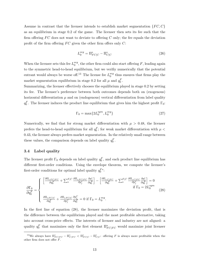Assume in contrast that the licenser intends to establish market segmentation  ${FC, C}$ as an equilibrium in stage 0.2 of the game. The licenser then sets its fee such that the firm offering  $FC$  does not want to deviate to offering  $C$  only; the fee equals the deviation profit of the firm offering  $FC$  given the other firm offers only  $C$ :

$$
L_0^{seg} = \Pi_{FC|C}^* - \Pi_{C|C}^* \tag{26}
$$

When the licenser sets this fee  $L_0^{seg}$  $_{0}^{seg}$ , the other firm could also start offering F, leading again to the symmetric head-to-head equilibrium, but we verifiy numerically that the potential entrant would always be worse off.<sup>13</sup> The license fee  $L_0^{seg}$  $_{0}^{seg}$  thus ensures that firms play the market segmentation equilibrium in stage 0.2 for all  $\mu$  and  $q_0^F$ .

Summarizing, the licenser effectively chooses the equilibrium played in stage 0.2 by setting its fee. The licenser's preference between both outcomes depends both on (exogenous) horizontal differentiation  $\mu$  and on (endogenous) vertical differentiation from label quality  $q_0^F$ . The licenser induces the product line equilibrium that gives him the highest profit  $\Gamma_0$ :

$$
\Gamma_0 = \max\{2L_0^{sym}, L_0^{seg}\}\tag{27}
$$

Numerically, we find that for strong market differentiation with  $\mu > 0.48$ , the licenser prefers the head-to-head equilibrium for all  $q_0^F$ ; for weak market differentiation with  $\mu$  < 0.43, the licenser always prefers market segmentation. In the relatively small range between these values, the comparison depends on label quality  $q_0^F$ .

### 3.4 Label quality

The licenser profit  $\Gamma_0$  depends on label quality  $q_0^F$ , and each product line equilibrium has different first-order conditions. Using the envelope theorem, we compute the licenser's first-order conditions for optimal label quality  $q_0^{F*}$ :

$$
\frac{\partial \Gamma_0}{\partial q_0^F} = \begin{cases}\n\left[\frac{\partial \Pi_{i:FC|FC}}{\partial q_0^F} + \sum_s^{F,C} \frac{\partial \Pi_{i:FC|FC}}{\partial p_j^s} \frac{\partial p_j^s}{\partial q_0^F}\right] - \left[\frac{\partial \Pi_{i:C|FC}}{\partial q_0^F} + \sum_s^{F,C} \frac{\partial \Pi_{i:C|FC}}{\partial p_j^s} \frac{\partial p_j^s}{\partial q_0^F}\right] = 0 \\
\frac{\partial \Pi_0}{\partial q_0^F} = \begin{cases}\n\frac{\partial \Pi_{i:FC|C}}{\partial q_0^F} + \frac{\partial \Pi_{i:FC|C}}{\partial p_j^c} \frac{\partial p_j^C}{\partial q_0^F} = 0 & \text{if } \Gamma_0 = L_0^{seg}.\n\end{cases}\n\end{cases} (28)
$$

In the first line of equation (28), the licenser maximizes the deviation profit, that is the difference between the equilibrium played and the most profitable alternative, taking into account cross-price effects. The interests of licenser and industry are not aligned: a quality  $q_0^F$  that maximizes only the first element  $\Pi_{FC|FC}^*$  would maximize joint licenser

<sup>&</sup>lt;sup>13</sup>We always have  $\Pi_{FC|FC}^* - \Pi_{C|FC}^* < \Pi_{FC|C}^* - \Pi_{C|C}^*$ : offering F is always more profitable when the other firm does not offer F.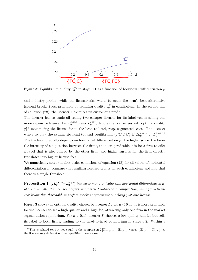

Figure 3: Equilibrium quality  $q_0^{F*}$  in stage 0.1 as a function of horizontal differentiation  $\mu$ 

and industry profits, while the licenser also wants to make the firm's best alternative (second bracket) less profitable by reducing quality  $q_0^F$  in equilibrium. In the second line of equation (28), the licenser maximizes its customer's profit.

The licenser has to trade off selling two cheaper licenses for its label versus selling one more expensive license. Let  $L_0^{sym*}$  $_0^{sym*}$ , resp.  $L_0^{seg*}$  $_{0}^{seg*}$ , denote the license fees with optimal quality  $q_0^{F*}$  maximizing the license fee in the head-to-head, resp. segmented, case. The licenser wants to play the symmetric head-to-head equilibrium  $\{FC, FC\}$  if  $2L_0^{sym*} > L_0^{seg*}$ .<sup>14</sup> The trade-off crucially depends on horizontal differentiation  $\mu$ : the higher  $\mu$ , i.e. the lower the intensity of competition between the firms, the more profitable it is for a firm to offer a label that is also offered by the other firm; and higher surplus for the firm directly translates into higher license fees.

We numerically solve the first-order conditions of equation  $(28)$  for all values of horizontal differentiation  $\mu$ , compare the resulting licenser profits for each equilibrium and find that there is a single threshold:

Proposition 1  $(2L_0^{sym \ast }-L_0^{seg \ast })$  $\hat{\theta}^{seg*}_{0})$  increases monotonically with horizontal differentiation  $\mu$ . above  $\mu = 0.46$ , the licenser prefers symmetric head-to-head competition, selling two licenses; below this threshold, it prefers market segmentation, selling just one license.

Figure 3 shows the optimal quality chosen by licenser F: for  $\mu < 0.46$ , it is more profitable for the licenser to set a high quality and a high fee, attracting only one firm in the market segmentation equilibrium. For  $\mu > 0.46$ , licenser F chooses a low quality and fee but sells its label to both firms, leading to the head-to-head equilibrium in stage 0.2. Within a

<sup>&</sup>lt;sup>14</sup>This is related to, but not equal to the comparison  $2\left[\Pi_{FC|FC}^* - \Pi_{C|FC}^*\right]$  versus  $\left[\Pi_{FC|C}^* - \Pi_{C|C}^*\right]$ , as the licenser sets different optimal qualities in each case.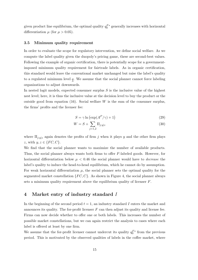given product line equilibrium, the optimal quality  $q_0^{F*}$  generally increases with horizontal differentiation  $\mu$  (for  $\mu > 0.05$ ).

#### 3.5 Minimum quality requirement

In order to evaluate the scope for regulatory intervention, we define social welfare. As we compute the label quality given the duopoly's pricing game, these are second-best values. Following the example of organic certification, there is potentially scope for a governmentimposed minimum quality requirement for fairtrade labels. As in organic certification, this standard would leave the conventional market unchanged but raise the label's quality to a regulated minimum level  $q$ . We assume that the social planner cannot force labeling organizations to adjust downwards.

In nested logit models, expected consumer surplus  $S$  is the inclusive value of the highest nest level; here, it is thus the inclusive value at the decision level to buy the product or the outside good from equation (16). Social welfare  $W$  is the sum of the consumer surplus, the firms' profits and the licenser fee:

$$
S = \gamma \ln \left( \exp(A^P / \gamma) + 1 \right) \tag{29}
$$

$$
W = S + \sum_{j=1,2} \Pi_{j:y|z}
$$
 (30)

where  $\Pi_{j:y|z}$  again denotes the profits of firm j when it plays y and the other firm plays z, with  $y, z \in \{FC, C\}$ .

We find that the social planner wants to maximize the number of available products. Thus, the social planner always wants both firms to offer F-labeled goods. However, for horizontal differentiation below  $\mu < 0.46$  the social planner would have to *decrease* the label's quality to induce the head-to-head equilibrium, which he cannot do by assumption. For weak horizontal differentiation  $\mu$ , the social planner sets the optimal quality for the segmented market constellation  ${FC, C}$ . As shown in Figure 4, the social planner always sets a minimum quality requirement above the equilibrium quality of licenser  $F$ .

### 4 Market entry of industry standard I

In the beginning of the second period  $t = 1$ , an industry standard I enters the market and announces its quality. The for-profit licenser  $F$  can then adjust its quality and license fee. Firms can now decide whether to offer one or both labels. This increases the number of possible market constellations, but we can again restrict the analysis to cases where each label is offered at least by one firm.

We assume that the for-profit licenser cannot undercut its quality  $q_0^{F*}$  from the previous period. This is motivated by the observed qualities of labels in the coffee market, where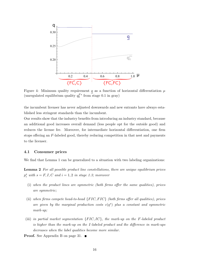

Figure 4: Minimum quality requirement q as a function of horizontal differentiation  $\mu$ (unregulated equilibrium quality  $q_0^{F*}$  from stage 0.1 in gray)

the incumbent licenser has never adjusted downwards and new entrants have always established less stringent standards than the incumbent.

Our results show that the industry benefits from introducing an industry standard, because an additional good increases overall demand (less people opt for the outside good) and reduces the license fee. Moreover, for intermediate horizontal differentiation, one firm stops offering an F-labeled good, thereby reducing competition in that nest and payments to the licenser.

#### 4.1 Consumer prices

We find that Lemma 1 can be generalized to a situation with two labeling organizations:

Lemma 2 For all possible product line constellations, there are unique equilibrium prices  $p_i^s$  with  $s = F, I, C$  and  $i = 1, 2$  in stage 1.3; moreover

- (i) when the product lines are symmetric (both firms offer the same qualities), prices are symmetric;
- (ii) when firms compete head-to-head  ${FIC, FIC}$  (both firms offer all qualities), prices are given by the marginal production costs  $c(q^s)$  plus a constant and symmetric mark-up;
- (iii) in partial market segmentation  ${FIC, IC}$ , the mark-up on the F-labeled product is higher than the mark-up on the I-labeled product and the difference in mark-ups decreases when the label qualities become more similar.
- **Proof.** See Appendix B on page 31.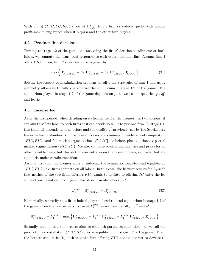With  $y, z \in \{FIC, FC, IC, C\}$ , we let  $\Pi^*_{i:y|z}$  denote firm i's reduced profit with unique profit-maximizing prices when it plays  $y$  and the other firm plays  $z$ .

#### 4.2 Product line decisions

Turning to stage 1.2 of the game and analyzing the firms' decision to offer one or both labels, we compute the firms' best responses to each other's product line. Assume firm 1 offers  $FIC$ . Then, firm 2's best response is given by

$$
\max\left\{\Pi_{FIC|FIC}^* - L_1, \Pi_{FC|FIC}^* - L_1, \Pi_{IC|FIC}^*, \Pi_{C|FIC}^*\right\}
$$
\n(31)

Solving the respective maximization problem for all other strategies of firm 1 and using symmetry allows us to fully characterize the equilibrium in stage 1.2 of the game. The equilibrium played in stage 1.2 of the game depends on  $\mu$ , as well as on qualities  $q<sup>I</sup>$ ,  $q<sub>I</sub><sup>F</sup>$ and fee  $L_1$ .

### 4.3 License fee

As in the first period, when deciding on its license fee  $L_1$ , the licenser has two options: it can aim to sell its label to both firms or it can decide to sell it to just one firm. In stage 1.1, this trade-off depends on  $\mu$  as before and the quality  $q<sup>I</sup>$  previously set by the Stackelberg leader industry standard I. The relevant cases are symmetric head-to-head competition  ${FIC, FIC}$  and full market segmentation  ${FC, IC}$ , as before, plus additionally partial market segmentation  ${FIC, IC}$ . We also compute equilibrium qualities and prices for all other possible cases, but this section concentrates on the relevant cases, i.e. cases that are equilibria under certain conditions.

Assume first that the licenser aims at inducing the symmetric head-to-head equilibrium  ${FIC, FIC}$ , i.e. firms compete on all labels. In this case, the licenser sets its fee  $L_1$  such that neither of the two firms offering  $FIC$  wants to deviate to offering  $IC$  only; the fee equals their deviation profit, given the other firm also offers  $FIC$ :

$$
L_1^{sym} = \Pi_{FIC|FIC}^* - \Pi_{IC|FIC}^* \tag{32}
$$

Numerically, we verify that firms indeed play the head-to-head equilibrium in stage 1.2 of the game when the licenser sets its fee at  $L_1^{sym}$  $_1^{sym}$ , as we have for all  $\mu$ ,  $q_1^F$  and  $q^I$ :

$$
\Pi_{FIC|FIC}^* - L_1^{sym} = \max \left\{ \Pi_{FIC|FIC}^* - L_1^{sym}, \Pi_{FC|FIC}^* - L_1^{sym}, \Pi_{IC|FIC}^*, \Pi_{C|FIC}^* \right\}
$$

Secondly, assume that the licenser aims to establish partial segmentation – as we call the product line constellation  $\{FIC, IC\}$  – as an equilibrium in stage 1.2 of the game. Then, the licenser sets its fee  $L_1$  such that the firm offering  $FIC$  has no interest to deviate to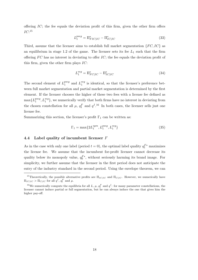offering  $IC$ ; the fee equals the deviation profit of this firm, given the other firm offers  $IC:^{15}$ 

$$
L_1^{pseg} = \Pi_{FIC|IC}^* - \Pi_{IC|IC}^* \tag{33}
$$

Third, assume that the licenser aims to establish full market segmentation  $\{FC, IC\}$  as an equilibrium in stage 1.2 of the game. The licenser sets its fee  $L_1$  such that the firm offering  $FC$  has no interest in deviating to offer  $IC$ ; the fee equals the deviation profit of this firm, given the other firm plays IC:

$$
L_1^{seg} = \Pi_{FC|IC}^* - \Pi_{IC|IC}^* \tag{34}
$$

The second element of  $L_1^{pseg}$  $_1^{pseg}$  and  $L_1^{seg}$  $i_1^{seg}$  is identical, so that the licenser's preference between full market segmentation and partial market segmentation is determined by the first element. If the licenser chooses the higher of these two fees with a license fee defined as  $\max\{L_1^{pseg}$  $_{1}^{pseg}, L_{1}^{seg}$ , we numerically verify that both firms have no interest in deviating from the chosen constellation for all  $\mu$ ,  $q_1^F$  and  $q_1^I$ .<sup>16</sup> In both cases, the licenser sells just one license fee.

Summarizing this section, the licenser's profit  $\Gamma_1$  can be written as:

$$
\Gamma_1 = \max\{2L_1^{sym}, L_1^{pseg}, L_1^{seg}\}\tag{35}
$$

### 4.4 Label quality of incumbent licenser F

As in the case with only one label (period  $t = 0$ ), the optimal label quality  $q_1^{F*}$  maximizes the license fee. We assume that the incumbent for-profit licenser cannot decrease its quality below its monopoly value,  $q_0^F^*$ , without seriously harming its brand image. For simplicity, we further assume that the licenser in the first period does not anticipate the entry of the industry standard in the second period. Using the envelope theorem, we can

<sup>&</sup>lt;sup>15</sup>Theoretically, the possible alternative profits are  $\Pi_{IC|IC}$  and  $\Pi_{C|IC}$ . However, we numerically have  $\Pi_{IC|IC} > \Pi_{C|IC}$  for all  $q<sup>I</sup>$ ,  $q<sub>1</sub><sup>F</sup>$  and  $\mu$ .

<sup>&</sup>lt;sup>16</sup>We numerically compute the equilibria for all L,  $\mu$ ,  $q_1^F$  and  $q^I$ : for many parameter constellations, the licenser cannot induce partial or full segmentation, but he can always induce the one that gives him the higher pay-off.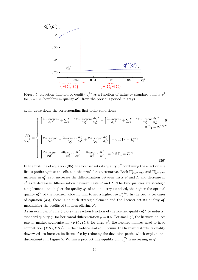

Figure 5: Reaction function of quality  $q_1^{F*}$  as a function of industry standard quality  $q^I$ for  $\mu = 0.5$  (equilibrium quality  $q_0^{F*}$  from the previous period in gray)

again write down the corresponding first-order conditions:

$$
\frac{\partial \Gamma_1}{\partial q_1^F} = \begin{cases}\n\left[\frac{\partial \Pi_{i: FIC|FIC}}{\partial q_1^F} + \sum_s F_s I, C \frac{\partial \Pi_{i: FIC|FIC}}{\partial p_j^s} \frac{\partial p_j^s}{\partial q_1^F}\right] - \left[\frac{\partial \Pi_{i: IC|FIC}}{\partial q_1^F} + \sum_s F_s I, C \frac{\partial \Pi_{i: IC|FIC}}{\partial p_j^s} \frac{\partial p_j^s}{\partial q_1^F}\right] = 0 \\
\left[\frac{\partial \Pi_{i: FIC|IC}}{\partial q_1^F} + \frac{\partial \Pi_{i: FIC|IC}}{\partial p_j^F} \frac{\partial p_j^I}{\partial q_1^F} + \frac{\partial \Pi_{i: FIC|IC}}{\partial p_j^C} \frac{\partial p_j^C}{\partial q_1^F}\right] = 0 \text{ if } \Gamma_1 = L_1^{pseg} \\
\left[\frac{\partial \Pi_{i: FCl|IC}}{\partial q_1^F} + \frac{\partial \Pi_{i: FCl|IC}}{\partial p_j^F} \frac{\partial p_j^I}{\partial q_1^F} + \frac{\partial \Pi_{i: FCl|IC}}{\partial p_j^C} \frac{\partial p_j^C}{\partial q_1^F}\right] = 0 \text{ if } \Gamma_1 = L_1^{seg}\n\end{cases}
$$
\n(36)

In the first line of equation (36), the licenser sets its quality  $q_1^F$  combining the effect on the firm's profits against the effect on the firm's best alternative. Both  $\Pi_{FIC|FIC}^*$  and  $\Pi_{IC|FIC}^*$ increase in  $q_1^F$  as it increases the differentiation between nests F and I, and decrease in  $q<sup>I</sup>$  as it decreases differentiation between nests F and I. The two qualities are strategic complements: the higher the quality  $q<sup>I</sup>$  of the industry standard, the higher the optimal quality  $q_1^{F*}$  of the licenser, allowing him to set a higher fee  $L_1^{sym}$  $_{1}^{sym}$ . In the two latter cases of equation (36), there is no such strategic element and the licenser set its quality  $q_1^F$ maximizing the profits of the firm offering F.

As an example, Figure 5 plots the reaction function of the licenser quality  $q_1^{F*}$  to industry standard quality  $q<sup>I</sup>$  for horizontal differentiation  $\mu = 0.5$ . For small  $q<sup>I</sup>$ , the licenser induces partial market segmentation  $\{FIC, IC\}$ ; for large  $q<sup>I</sup>$ , the licenser induces head-to-head competition  $\{FIC, FIC\}$ . In the head-to-head equilibrium, the licenser distorts its quality downwards to increase its license fee by reducing the deviation profit, which explains the discontinuity in Figure 5. Within a product line equilibrium,  $q_1^{F*}$  is increasing in  $q<sup>I</sup>$ .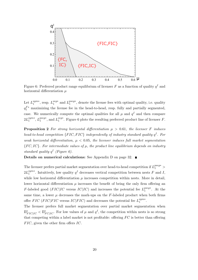

Figure 6: Preferred product range equilibrium of licenser F as a function of quality  $q<sup>I</sup>$  and horizontal differentiation  $\mu$ 

Let  $L_1^{sym*}$  $_1^{sym*}$ , resp.  $L_1^{seg*}$  $_1^{seg*}$  and  $L_1^{pseg*}$  $1^{\text{pseg}*}$ , denote the license fees with optimal quality, i.e. quality  $q_1^{F*}$  maximizing the license fee in the head-to-head, resp. fully and partially segmented, case. We numerically compute the optimal qualities for all  $\mu$  and  $q<sup>I</sup>$  and then compare  $2L_1^{sym*}$  $_1^{sym*}, L_1^{pseg*}$  $_1^{pseg*}$ , and  $L_1^{seg*}$  $_{1}^{seg*}$ . Figure 6 plots the resulting preferred product line of licenser F.

**Proposition 2** For strong horizontal differentiation  $\mu > 0.61$ , the licenser F induces head-to-head competition  $\{FIC, FIC\}$  independently of industry standard quality  $q<sup>I</sup>$ . For weak horizontal differentiation,  $\mu$  < 0.05, the licenser induces full market segmentation  ${FC, IC}$ . For intermediate values of  $\mu$ , the product line equilibrium depends on industry standard quality  $q<sup>I</sup>$  (Figure 6).

Details on numerical calculations: See Appendix D on page 32. ■

The licenser prefers partial market segmentation over head-to-head competition if  $L_1^{pseg*}$  >  $2L_1^{sym*}$  $_{1}^{sym*}$ . Intuitively, low quality  $q^{I}$  decreases vertical competition between nests F and I, while low horizontal differentiation  $\mu$  increases competition within nests. More in detail, lower horizontal differentiation  $\mu$  increases the benefit of being the only firm offering an F-labeled good (FIC|IC versus  $IC|IC$ ) and increases the potential fee  $L_1^{pseg*}$  $1^{pseg*}$ . At the same time, a lower  $\mu$  decreases the mark-ups on the F-labeled product when both firms offer *FIC* (*FIC*|*FIC* versus *IC*|*FIC*) and decreases the potential fee  $L_1^{sym*}$  $_{1}^{sym*}.$ 

The licenser prefers full market segmentation over partial market segmentation when  $\Pi_{FIC|IC}^* < \Pi_{FC|IC}^*$ . For low values of  $\mu$  and  $q^I$ , the competition within nests is so strong that competing within a label market is not profitable: offering  $FC$  is better than offering  $FIC$ , given the other firm offers  $IC$ .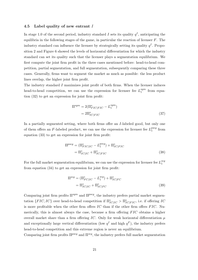#### 4.5 Label quality of new entrant I

In stage 1.0 of the second period, industry standard I sets its quality  $q<sup>I</sup>$ , anticipating the equilibria in the following stages of the game, in particular the reaction of licenser  $F$ . The industry standard can influence the licenser by strategically setting its quality  $q<sup>I</sup>$ . Proposition 2 and Figure 6 showed the levels of horizontal differentiation for which the industry standard can set its quality such that the licenser plays a segmentation equilibrium. We first compute the joint firm profit in the three cases mentioned before: head-to-head competition, partial segmentation, and full segmentation, subsequently comparing these three cases. Generally, firms want to segment the market as much as possible: the less product lines overlap, the higher joint firm profit.

The industry standard I maximizes joint profit of both firms. When the licenser induces head-to-head competition, we can use the expression for licenser fee  $L_1^{sym}$  $l_1^{sym}$  from equation (32) to get an expression for joint firm profit:

$$
\Pi^{sym} = 2(\Pi_{FIC|FIC}^* - L_1^{sym})
$$

$$
= 2\Pi_{IC|FIC}^* \tag{37}
$$

In a partially segmented setting, where both firms offer an I-labeled good, but only one of them offers an F-labeled product, we can use the expression for licenser fee  $L_1^{pseg}$  $_1^{pseg}$  from equation (33) to get an expression for joint firm profit:

$$
\Pi^{pseg} = (\Pi_{FIC|IC}^* - L_1^{pseg}) + \Pi_{IC|FIC}^*
$$
  
=  $\Pi_{IC|IC}^* + \Pi_{IC|FIC}^*$  (38)

For the full market segmentation equilibrium, we can use the expression for licenser fee  $L_1^{seg}$ 1 from equation (34) to get an expression for joint firm profit:

$$
\Pi^{seg} = (\Pi_{FC|IC}^* - L_1^{seg}) + \Pi_{IC|FC}^*
$$
  
=  $\Pi_{IC|IC}^* + \Pi_{IC|FC}^*$  (39)

Comparing joint firm profits  $\Pi^{sym}$  and  $\Pi^{pseg}$ , the industry prefers partial market segmentation  ${FIC, IC}$  over head-to-head competition if  $\Pi_{IC|IC}^* > \Pi_{IC|FC}^*$ , i.e. if offering IC is more profitable when the other firm offers  $IC$  than if the other firm offers  $FIC$ . Numerically, this is almost always the case, because a firm offering  $FIC$  obtains a higher overall market share than a firm offering IC. Only for weak horizontal differentiation  $\mu$ and exceptionally large vertical differentiation (low  $q<sup>I</sup>$  and high  $q<sup>F</sup>$ ), the industry prefers head-to-head competition and this extreme region is never an equilibrium.

Comparing joint firm profits  $\Pi^{pseg}$  and  $\Pi^{seg}$ , the industry prefers full market segmentation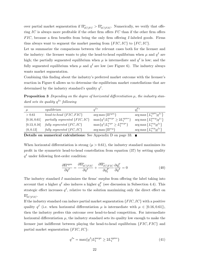over partial market segmentation if  $\Pi_{IC|FC}^* > \Pi_{IC|FIC}^*$ . Numerically, we verify that offering IC is always more profitable if the other firm offers  $FC$  than if the other firm offers  $FIC$ , because a firm benefits from being the only firm offering I-labeled goods. Firms thus always want to segment the market passing from  ${FIC, IC}$  to  ${FC, IC}$ .

Let us summarize the comparisons between the relevant cases both for the licenser and the industry: the licenser wants to play the head-to-head equilibrium when  $\mu$  and  $q<sup>I</sup>$  are high; the partially segmented equilibrium when  $\mu$  is intermediate and  $q<sup>I</sup>$  is low; and the fully segmented equilibrium when  $\mu$  and  $q<sup>I</sup>$  are low (see Figure 6). The industry always wants market segmentation.

Combining this finding about the industry's preferred market outcome with the licenser's reaction in Figure 6 allows us to determine the equilibrium market constellations that are determined by the industry standard's quality  $q<sup>I</sup>$ .

**Proposition 3** Depending on the degree of horizontal differentiation  $\mu$ , the industry standard sets its quality  $q^{I*}$  following

| $\mu$        | equilibrium                       | $a^{I*}$                                      | $q_1^{F*}$                                      |
|--------------|-----------------------------------|-----------------------------------------------|-------------------------------------------------|
| > 0.61       | head-to-head $\{FIC, FIC\}$       | $\arg \max \left\{ \Pi^{sym} \right\}$        | $\arg \max \left\{ L_1^{sym}   q^{I*} \right\}$ |
| [0.16, 0.61] | partially segmented $\{FIC, IC\}$ | $\max\{q^I   L_1^{pseg*} \geq 2L_1^{sym*}\}\$ | $\arg \max \left\{L_1^{pseg} q^{I*}\right\}$    |
| [0.13, 0.16] | fully segmented $\{FC, IC\}$      | $\max\{q^I   L_1^{seg*} \geq L_1^{pseg*}\}\$  | $\arg \max \left\{ L_1^{seg}   q^{I*} \right\}$ |
| (0, 0.13]    | fully segmented $\{FC, IC\}$      | $\arg \max \left\{ \Pi^{seg} \right\}$        | $\arg \max \left\{ L_1^{seg}   q^{I*} \right\}$ |
|              |                                   |                                               |                                                 |

Details on numerical calculations: See Appendix D on page 33. ■

When horizontal differentiation is strong ( $\mu > 0.61$ ), the industry standard maximizes its profit in the symmetric head-to-head constellation from equation (37) by setting quality  $q<sup>I</sup>$  under following first-order condition:

$$
\frac{\partial \Pi^{sym}}{\partial q^I} = \frac{\partial \Pi^*_{IC|FIC}}{\partial q^I} + \frac{\partial \Pi^*_{IC|FIC}}{\partial q^F_1} \frac{\partial q^F_1}{\partial q^I} = 0 \tag{40}
$$

The industry standard  $I$  maximizes the firms' surplus from offering the label taking into account that a higher  $q<sup>I</sup>$  also induces a higher  $q<sup>F</sup><sub>1</sub>$  (see discussion in Subsection 4.4). This strategic effect increases  $q<sup>I</sup>$ , relative to the solution maximizing only the direct effect on  $\Pi_{IC|FIC}^*$ .

If the industry standard can induce partial market segmentation  ${FIC, IC}$  with a positive quality  $q<sup>I</sup>$  (i.e. when horizontal differentiation  $\mu$  is intermediate with  $\mu \in [0.16, 0.61]$ ), then the industry prefers this outcome over head-to-head competition. For intermediate horizontal differentiation  $\mu$ , the industry standard sets its quality low enough to make the licenser just indifferent between playing the head-to-head equilibrium  ${FIC, FIC}$  and partial market segmentation  ${FIC, IC}$ :

$$
q^{I*} = \max\{q^I | L_1^{pseg*} \ge 2L_1^{sym*}\}\tag{41}
$$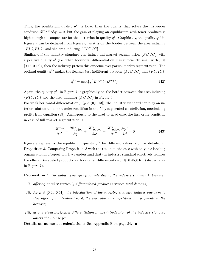Thus, the equilibrium quality  $q^{I*}$  is lower than the quality that solves the first-order condition  $\partial\Pi^{pseg}/\partial q^I = 0$ , but the gain of playing an equilibrium with fewer products is high enough to compensate for the distortion in quality  $q<sup>I</sup>$ . Graphically, the quality  $q<sup>I</sup>$ \* in Figure 7 can be deduced from Figure 6, as it is on the border between the area inducing  ${FIC, FIC}$  and the area inducing  ${FIC, IC}$ .

Similarly, if the industry standard can induce full market segmentation  $\{FC, IC\}$  with a positive quality  $q^I$  (i.e. when horizontal differentiation  $\mu$  is sufficiently small with  $\mu \in$ [0.13, 0.16]), then the industry prefers this outcome over partial market segmentation. The optimal quality  $q^{I*}$  makes the licenser just indifferent between  $\{FIC, IC\}$  and  $\{FC, IC\}$ :

$$
q^{I*} = \max\{q^I | L_1^{seg*} \ge L_1^{pseg*}\}\tag{42}
$$

Again, the quality  $q^{I*}$  in Figure 7 is graphically on the border between the area inducing  ${FIC, IC}$  and the area inducing  ${FC, IC}$  in Figure 6.

For weak horizontal differentiation  $\mu$  ( $\mu \in (0, 0.13]$ ), the industry standard can play an interior solution to its first-order condition in the fully segmented constellation, maximizing profits from equation (39). Analogously to the head-to-head case, the first-order condition in case of full market segmentation is

$$
\frac{\partial \Pi^{seg}}{\partial q^I} = \frac{\partial \Pi^*_{IC|IC}}{\partial q^I} + \frac{\partial \Pi^*_{IC|FC}}{\partial q^I} + \frac{\partial \Pi^*_{IC|FC}}{\partial q^F_1} \frac{\partial q^F_1}{\partial q^I} = 0 \tag{43}
$$

Figure 7 represents the equilibrium quality  $q^{I*}$  for different values of  $\mu$ , as detailed in Proposition 3. Comparing Proposition 3 with the results in the case with only one labeling organization in Proposition 1, we understand that the industry standard effectively reduces the offer of F-labeled products for horizontal differentiation  $\mu \in [0.46, 0.61]$  (shaded area in Figure 7).

Proposition 4 The industry benefits from introducing the industry standard I, because

- (i) offering another vertically differentiated product increases total demand;
- (ii) for  $\mu \in [0.46, 0.61]$ , the introduction of the industry standard induces one firm to stop offering an F -labeled good, thereby reducing competition and payments to the licenser;
- (iii) at any given horizontal differentiation  $\mu$ , the introduction of the industry standard lowers the license fee.

Details on numerical calculations: See Appendix E on page 34. ■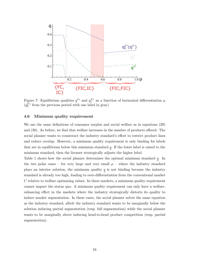

Figure 7: Equilibrium qualities  $q^{I*}$  and  $q_1^{F*}$  as a function of horizontal differentiation  $\mu$  $(q_0^{F*}$  from the previous period with one label in gray)

### 4.6 Minimum quality requirement

We use the same definitions of consumer surplus and social welfare as in equations (29) and (30). As before, we find that welfare increases in the number of products offered. The social planner wants to counteract the industry standard's effort to restrict product lines and reduce overlap. However, a minimum quality requirement is only binding for labels that are in equilibrium below this minimum standard  $q$ . If the lower label is raised to the minimum standard, then the licenser strategically adjusts the higher label.

Table 1 shows how the social planner determines the optimal minimum standard  $q$ . In the two polar cases – for very large and very small  $\mu$  – where the industry standard plays an interior solution, the minimum quality  $q$  is not binding because the industry standard is already too high, leading to over-differentiation from the conventional market  $C$  relative to welfare optimizing values. In these markets, a minimum quality requirement cannot impact the status quo. A minimum quality requirement can only have a welfareenhancing effect in the markets where the industry strategically distorts its quality to induce market segmentation. In these cases, the social planner solves the same equation as the industry standard, albeit the industry standard wants to be marginally below the solution inducing partial segmentation (resp. full segmentation) while the social planner wants to be marginally above inducing head-to-head product competition (resp. partial segmentation).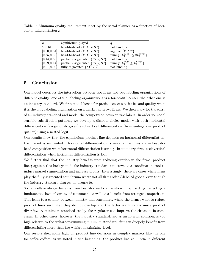Table 1: Minimum quality requirement  $q$  set by the social planner as a function of horizontal differentiation  $\mu$ 

| $\mu$        | equilibrium played                |                                               |
|--------------|-----------------------------------|-----------------------------------------------|
| > 0.61       | head-to-head $\{FIC, FIC\}$       | not binding                                   |
| [0.50, 0.61] | head-to-head $\{FIC, FIC\}$       | $\arg \max \{W^{sym}\}\$                      |
| [0.35, 0.50] | head-to-head $\{FIC, FIC\}$       | $\min\{q^I   L_1^{pseg*} \leq 2L_1^{sym*}\}\$ |
| [0.14, 0.35] | partially segmented $\{FIC, IC\}$ | not binding                                   |
| [0.09, 0.14] | partially segmented $\{FIC, IC\}$ | $\min\{q^I   L_1^{seg*} \leq L_1^{pseg*}\}\$  |
| [0.01, 0.09] | fully segmented $\{FC, IC\}$      | not binding                                   |

### 5 Conclusion

Our model describes the interaction between two firms and two labeling organizations of different quality; one of the labeling organizations is a for-profit licenser, the other one is an industry standard. We first model how a for-profit licenser sets its fee and quality when it is the only labeling organization on a market with two firms. We then allow for the entry of an industry standard and model the competition between two labels. In order to model sensible substitution patterns, we develop a discrete choice model with both horizontal differentiation (exogenously given) and vertical differentiation (from endogenous product quality) using a nested logit.

Our results show that the equilibrium product line depends on horizontal differentiation: the market is segmented if horizontal differentiation is weak, while firms are in head-tohead competition when horizontal differentiation is strong. In summary, firms seek vertical differentiation when horizontal differentiation is low.

We further find that the industry benefits from reducing overlap in the firms' product lines; against this background, the industry standard can serve as a coordination tool to induce market segmentation and increase profits. Interestingly, there are cases where firms play the fully segmented equilibrium where not all firms offer I-labeled goods, even though the industry standard charges no license fee.

Social welfare always benefits from head-to-head competition in our setting, reflecting a fundamental love of variety of consumers as well as a benefit from stronger competition. This leads to a conflict between industry and consumers, where the former want to reduce product lines such that they do not overlap and the latter want to maximize product diversity. A minimum standard set by the regulator can improve the situation in some cases. In other cases, however, the industry standard, set as an interior solution, is too high relative to the welfare-maximizing minimum standard: firms in duopoly benefit from differentiating more than the welfare-maximizing level.

Our results shed some light on product line decisions in complex markets like the one for coffee coffee: as we noted in the beginning, the product line equilibria in different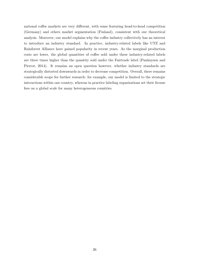national coffee markets are very different, with some featuring head-to-head competition (Germany) and others market segmentation (Finland), consistent with our theoretical analysis. Moreover, our model explains why the coffee industry collectively has an interest to introduce an industry standard. In practice, industry-related labels like UTZ and Rainforest Alliance have gained popularity in recent years. As the marginal production costs are lower, the global quantities of coffee sold under these industry-related labels are three times higher than the quantity sold under the Fairtrade label (Panhuysen and Pierrot, 2014). It remains an open question however, whether industry standards are strategically distorted downwards in order to decrease competition. Overall, there remains considerable scope for further research: for example, our model is limited to the strategic interactions within one country, whereas in practice labeling organizations set their license fees on a global scale for many heterogeneous countries.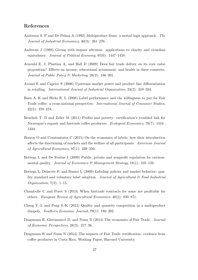### References

- Anderson S. P and De Palma A (1992) Multiproduct firms: a nested logit approach. The Journal of Industrial Economics, 40(3): 261–276.
- Andreoni J (1989) Giving with impure altruism: applications to charity and ricardian equivalence. Journal of Political Economy, 97(6): 1447–1458.
- Arnould E. J, Plastina A, and Ball D (2009) Does fair trade deliver on its core value proposition? Effects on income, educational attainment, and health in three countries. Journal of Public Policy & Marketing, 28(2): 186–201.
- Avenel E and Caprice S (2006) Upstream market power and product line differentiation in retailing. International Journal of Industrial Organization, 24(2): 319–334.
- Basu A. K and Hicks R. L (2008) Label performance and the willingness to pay for Fair Trade coffee: a cross-national perspective. International Journal of Consumer Studies, 32(5): 470–478.
- Beuchelt T. D and Zeller M (2011) Profits and poverty: certification's troubled link for Nicaragua's organic and fairtrade coffee producers. Ecological Economics, 70(7): 1316– 1324.
- Bonroy O and Constantatos C (2015) On the economics of labels: how their introduction affects the functioning of markets and the welfare of all participants. American Journal of Agricultural Economics, 97(1): 239–259.
- Bottega L and De Freitas J (2009) Public, private and nonprofit regulation for environmental quality. Journal of Economics & Management Strategy,  $18(1)$ :  $105-123$ .
- Bottega L, Delacote P, and Ibanez L (2009) Labeling policies and market behavior: quality standard and voluntary label adoption. Journal of Agricultural  $\mathcal C$  Food Industrial *Organization*,  $7(2)$ : 1–15.
- Chambolle C and Poret S (2013) When fairtrade contracts for some are profitable for others. European Review of Agricultural Economics, 40(5): 835–871.
- Cheng Y.-L and Peng S.-K (2012) Quality and quantity competition in a multiproduct duopoly. Southern Economic Journal, 79(1): 180–202.
- Dragusanu R, Giovannucci D, and Nunn N (2014) The economics of Fair Trade. Journal of Economic Perspectives, 28(3): 217–36.
- Dragusanu R and Nunn N (2014) The impacts of Fair Trade certification: evidence from coffee producers in Costa Rica. Working Paper, Harvard University.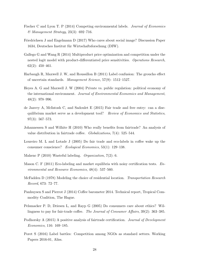- Fischer C and Lyon T. P (2014) Competing environmental labels. Journal of Economics & Management Strategy, 23(3): 692–716.
- Friedrichsen J and Engelmann D (2017) Who cares about social image? Discussion Paper 1634, Deutsches Institut für Wirtschaftsforschung (DIW).
- Gallego G and Wang R (2014) Multiproduct price optimization and competition under the nested logit model with product-differentiated price sensitivities. Operations Research, 62(2): 450–461.
- Harbaugh R, Maxwell J. W, and Roussillon B (2011) Label confusion: The groucho effect of uncertain standards. Management Science, 57(9): 1512–1527.
- Heyes A. G and Maxwell J. W (2004) Private vs. public regulation: political economy of the international environment. Journal of Environmental Economics and Management, 48(2): 978–996.
- de Janvry A, McIntosh C, and Sadoulet E (2015) Fair trade and free entry: can a disequilibrium market serve as a development tool? Review of Economics and Statistics, 97(3): 567–573.
- Johannessen S and Wilhite H (2010) Who really benefits from fairtrade? An analysis of value distribution in fairtrade coffee. Globalizations, 7(4): 525–544.
- Loureiro M. L and Lotade J (2005) Do fair trade and eco-labels in coffee wake up the consumer conscience? Ecological Economics, 53(1): 129–138.
- Mahenc P (2010) Wasteful labeling. Organization, 7(2): 6.
- Mason C. F (2011) Eco-labeling and market equilibria with noisy certification tests.  $En$ vironmental and Resource Economics, 48(4): 537–560.
- McFadden D (1978) Modeling the choice of residential location. *Transportation Research* Record, 673: 72–77.
- Panhuysen S and Pierrot J (2014) Coffee barometer 2014. Technical report, Tropical Commodity Coalition, The Hague.
- Pelsmacker P. D, Driesen L, and Rayp G (2005) Do consumers care about ethics? Willingness to pay for fair-trade coffee. The Journal of Consumer Affairs, 39(2): 363–385.
- Podhorsky A (2015) A positive analysis of fairtrade certification. Journal of Development Economics, 116: 169–185.
- Poret S (2016) Label battles: Competition among NGOs as standard setters. Working Papers 2016-01, Aliss.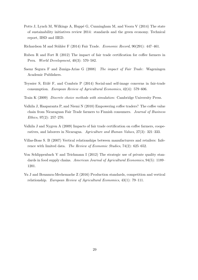Potts J, Lynch M, Wilkings A, Huppé G, Cunningham M, and Voora V (2014) The state of sustainability initiatives review 2014: standards and the green economy. Technical report, IISD and IIED.

Richardson M and Stähler F (2014) Fair Trade. Economic Record, 90(291): 447-461.

- Ruben R and Fort R (2012) The impact of fair trade certification for coffee farmers in Peru. World Development, 40(3): 570–582.
- Saenz Segura F and Zuniga-Arias G (2008) The impact of Fair Trade: Wageningen Academic Publishers.
- Teyssier S, Etilé F, and Combris P  $(2014)$  Social-and self-image concerns in fair-trade consumption. European Review of Agricultural Economics, 42(4): 579–606.
- Train K (2009) Discrete choice methods with simulation: Cambridge University Press.
- Valkila J, Haaparanta P, and Niemi N (2010) Empowering coffee traders? The coffee value chain from Nicaraguan Fair Trade farmers to Finnish consumers. Journal of Business Ethics, 97(2): 257–270.
- Valkila J and Nygren A (2009) Impacts of fair trade certification on coffee farmers, cooperatives, and laborers in Nicaragua. Agriculture and Human Values, 27(3): 321–333.
- Villas-Boas S. B (2007) Vertical relationships between manufacturers and retailers: Inference with limited data. The Review of Economic Studies, 74(2): 625–652.
- Von Schlippenbach V and Teichmann I (2012) The strategic use of private quality standards in food supply chains. American Journal of Agricultural Economics, 94(5): 1189– 1201.
- Yu J and Bouamra-Mechemache Z (2016) Production standards, competition and vertical relationship. European Review of Agricultural Economics, 43(1): 79–111.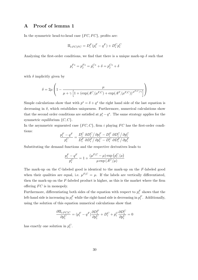# A Proof of lemma 1

In the symmetric head-to-head case  $\{FC, FC\}$ , profits are:

$$
\Pi_{i:FC|FC} = D_i^F(p_i^F - q^F) + D_i^C p_i^C
$$

Analyzing the first-order conditions, we find that there is a unique mark-up  $\delta$  such that

$$
p_i^{F*} = p_j^{F*} = p_i^{C*} + \delta = p_j^{C*} + \delta
$$

with  $\delta$  implicitly given by

$$
\delta = 2\mu \left( 1 - \frac{\mu}{\mu + \gamma \left[ 1 + \left( \exp(A^C/\mu^{F,C}) + \exp(A^F/\mu^{F,C}) \right)^{\mu^{F,C}/\gamma} \right]} \right)
$$

Simple calculations show that with  $p^s = \delta + q^s$  the right hand side of the last equation is decreasing in  $\delta$ , which establishes uniqueness. Furthermore, numerical calculations show that the second order conditions are satisfied at  $p_i^s - q^s$ . The same strategy applies for the symmetric equilibrium  $\{C, C\}$ .

In the asymmetric segmented case  ${FC, C}$ , firm i playing FC has the first-order conditions:

$$
\frac{p_i^F-q^F}{p_i^C}=\frac{D_i^C}{D_i^F}\frac{\partial D_i^C}{\partial D_i^F/\partial p_i^C-D_i^C}\frac{\partial D_i^C}{\partial D_i^F/\partial p_i^F}
$$

Substituting the demand functions and the respective derivatives leads to

$$
\frac{p_i^F - q^F}{p_i^C} = 1 + \frac{(\mu^{F,C} - \mu) \exp(p_i^C/\mu)}{\mu \exp(A^C/\mu)}
$$

The mark-up on the C-labeled good is identical to the mark-up on the F-labeled good when their qualities are equal, i.e.  $\mu^{F,C} = \mu$ . If the labels are vertically differentiated, then the mark-up on the F-labeled product is higher, as this is the market where the firm offering  $FC$  is in monopoly.

Furthermore, differentiating both sides of the equation with respect to  $p_i^F$  shows that the left-hand side is increasing in  $p_i^F$  while the right-hand side is decreasing in  $p_i^F$ . Additionally, using the solution of this equation numerical calculations show that

$$
\frac{\partial \Pi_{i:FC|C}}{\partial p_i^C} = (p_i^F - q^F) \frac{\partial D_i^F}{\partial p_i^C} + D_i^C + p_i^C \frac{\partial D_i^C}{\partial p_i^C} = 0
$$

has exactly one solution in  $p_i^C$ .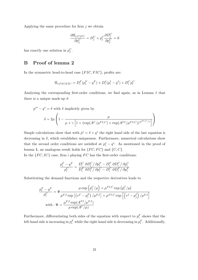Applying the same procedure for firm  $j$  we obtain

$$
\frac{\partial \Pi_{j:C|FC}}{\partial p_j^C} = D_j^C + p_j^C \frac{\partial D_j^C}{\partial p_j^C} = 0
$$

has exactly one solution in  $p_j^C$ .

### B Proof of lemma 2

In the symmetric head-to-head case  $\{FIC, FIC\}$ , profits are:

$$
\Pi_{i:FIC|FIC} = D_i^F (p_i^F - q^F) + D_i^I (p_i^I - q^I) + D_i^C p_i^C
$$

Analyzing the corresponding first-order conditions, we find again, as in Lemma 1 that there is a unique mark-up  $\delta$ :

$$
p^{s*} - q^s = \delta \text{ with } \delta \text{ implicitly given by}
$$

$$
\delta = 2\mu \left( 1 - \frac{\mu}{\mu + \gamma \left[ 1 + \left( \exp(A^C / \mu^{FI, C}) + \exp(A^{FI} / \mu^{FI, C}) \right)^{\mu^{FI, C}/\gamma} \right]} \right)
$$

Simple calculations show that with  $p^s = \delta + q^s$  the right hand side of the last equation is decreasing in  $\delta$ , which establishes uniqueness. Furthermore, numerical calculations show that the second order conditions are satisfied at  $p_i^s - q^s$ . As mentioned in the proof of lemma 1, an analogous result holds for  $\{FC, FC\}$  and  $\{C, C\}$ .

In the  ${FC, IC}$  case, firm i playing  $FC$  has the first-order conditions:

$$
\frac{p_i^F-q^F}{p_i^C}=\frac{D_i^C}{D_i^F}\frac{\partial D_i^C}{\partial D_i^F/\partial p_i^C-D_i^C}\frac{\partial D_i^C}{\partial D_i^F/\partial p_i^F}
$$

Substituting the demand functions and the respective derivatives leads to

$$
\frac{p_i^F - q^F}{p_i^C} = \Psi \frac{\mu \exp\left(p_j^C/\mu\right) + \mu^{FI,C} \exp\left(p_i^C/\mu\right)}{\mu^{F,I} \exp\left[\left(v^F - p_i^F\right)/\mu^{F,I}\right] + \mu^{FI,C} \exp\left[\left(v^I - p_j^I\right)/\mu^{F,I}\right]}
$$
\nwith : 
$$
\Psi = \frac{\mu^{F,I} \exp(A^{FI}/\mu^{F,I})}{\mu \exp(A^C/\mu)}
$$

Furthermore, differentiating both sides of the equation with respect to  $p_i^F$  shows that the left-hand side is increasing in  $p_i^F$  while the right-hand side is decreasing in  $p_i^F$ . Additionally,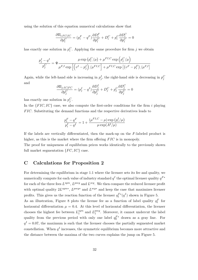using the solution of this equation numerical calculations show that

$$
\frac{\partial \Pi_{i:FC|IC}}{\partial p_i^C} = (p_i^F - q^F) \frac{\partial D_i^F}{\partial p_i^C} + D_i^C + p_i^C \frac{\partial D_i^C}{\partial p_i^C} = 0
$$

has exactly one solution in  $p_i^C$ . Applying the same procedure for firm j we obtain

$$
\frac{p_j^I - q^I}{p_j^C} = \Psi \frac{\mu \exp \left( p_i^C / \mu \right) + \mu^{FI,C} \exp \left( p_j^C / \mu \right)}{\mu^{F,I} \exp \left[ \left( v^I - p_j^I \right) / \mu^{FI,C} \right] + \mu^{FI,C} \exp \left[ \left( v^F - p_i^F \right) / \mu^{F,I} \right]}
$$

Again, while the left-hand side is increasing in  $p_j^I$ , the right-hand side is decreasing in  $p_j^C$ and

$$
\frac{\partial \Pi_{j:IC|FC}}{\partial p_j^C} = (p_j^I - q^I) \frac{\partial D_j^I}{\partial p_j^C} + D_j^C + p_j^C \frac{\partial D_j^C}{\partial p_j^C} = 0
$$

has exactly one solution in  $p_j^C$ .

In the  ${FIC, IC}$  case, we also compute the first-order conditions for the firm i playing FIC. Substituting the demand functions and the respective derivatives leads to

$$
\frac{p_i^F - q^F}{p_i^I - q^I} = 1 + \frac{(\mu^{FI,C} - \mu) \exp (p_i^I / \mu)}{\mu \exp (A^I / \mu)}
$$

If the labels are vertically differentiated, then the mark-up on the F-labeled product is higher, as this is the market where the firm offering  $FIC$  is in monopoly.

The proof for uniqueness of equilibrium prices works identically to the previously shown full market segmentation  ${FC, IC}$  case.

### C Calculations for Proposition 2

For determining the equilibrium in stage 1.1 where the licenser sets its fee and quality, we numerically compute for each value of industry standard  $q^I$  the optimal licenser quality  $q^{F*}$ for each of the three fees  $L^{sym}$ ,  $L^{pseg}$  and  $L^{seg}$ . We then compare the reduced licenser profit with optimal quality  $2L^{sym*}$ ,  $L^{pseg*}$  and  $L^{seg*}$  and keep the case that maximizes licenser profits. This gives us the reaction function of the licenser  $q_1^{F*}(q^I)$  shown in Figure 5. As an illustration, Figure 8 plots the license fee as a function of label quality  $q_1^F$  for horizontal differentiation  $\mu = 0.4$ . At this level of horizontal differentiation, the licenser chooses the highest fee between  $L_1^{sym}$  $_1^{sym}$  and  $L_1^{pseg}$  $_1^{pseg}$ . Moreover, it cannot undercut the label quality from the previous period with only one label  $q_0^{F*}$  drawn as a gray line. For  $q<sup>I</sup> = 0.07$ , the maximum is such that the licenser chooses the partially segmented market constellation. When  $q<sup>I</sup>$  increases, the symmetric equilibrium becomes more attractive and the distance between the maxima of the two curves explains the jump on Figure 5.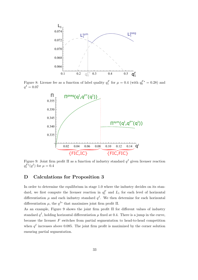

Figure 8: License fee as a function of label quality  $q_1^F$  for  $\mu = 0.4$  (with  $q_0^{F*} = 0.28$ ) and  $q^{I} = 0.07$ 



Figure 9: Joint firm profit  $\Pi$  as a function of industry standard  $q<sup>I</sup>$  given licenser reaction  $q_1^{F*}(q^I)$  for  $\mu = 0.4$ 

# D Calculations for Proposition 3

In order to determine the equilibrium in stage 1.0 where the industry decides on its standard, we first compute the licenser reaction in  $q_1^F$  and  $L_1$  for each level of horizontal differentiation  $\mu$  and each industry standard  $q<sup>I</sup>$ . We then determine for each horizontal differentiation  $\mu$ , the  $q^{I*}$  that maximizes joint firm profit  $\Pi$ .

As an example, Figure 9 shows the joint firm profit Π for different values of industry standard  $q<sup>I</sup>$ , holding horizontal differentiation  $\mu$  fixed at 0.4. There is a jump in the curve, because the licenser  $F$  switches from partial segmentation to head-to-head competition when  $q<sup>I</sup>$  increases above 0.085. The joint firm profit is maximized by the corner solution ensuring partial segmentation.